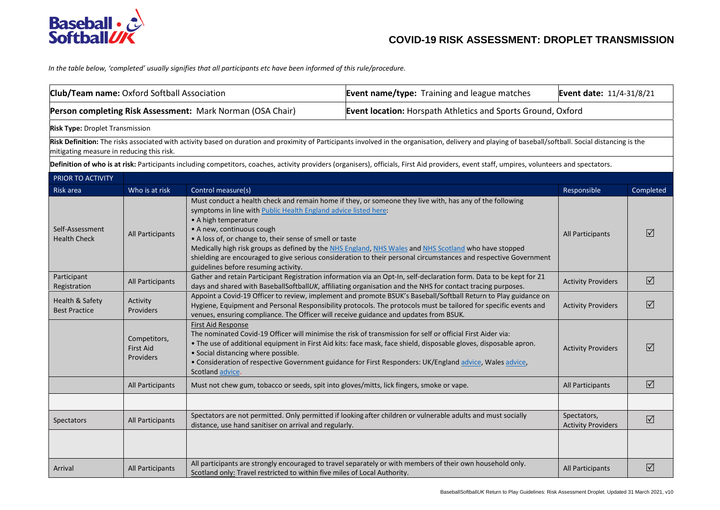

*In the table below, 'completed' usually signifies that all participants etc have been informed of this rule/procedure.* 

| Club/Team name: Oxford Softball Association                |                                                      |                                                                                                                                                                                                                                                                                                                                                                                                                                                                                                                                                                   | <b>Event name/type:</b> Training and league matches                                                                                                                                                                                                                                                                                          | Event date: 11/4-31/8/21                 |                      |
|------------------------------------------------------------|------------------------------------------------------|-------------------------------------------------------------------------------------------------------------------------------------------------------------------------------------------------------------------------------------------------------------------------------------------------------------------------------------------------------------------------------------------------------------------------------------------------------------------------------------------------------------------------------------------------------------------|----------------------------------------------------------------------------------------------------------------------------------------------------------------------------------------------------------------------------------------------------------------------------------------------------------------------------------------------|------------------------------------------|----------------------|
| Person completing Risk Assessment: Mark Norman (OSA Chair) |                                                      |                                                                                                                                                                                                                                                                                                                                                                                                                                                                                                                                                                   | Event location: Horspath Athletics and Sports Ground, Oxford                                                                                                                                                                                                                                                                                 |                                          |                      |
| <b>Risk Type: Droplet Transmission</b>                     |                                                      |                                                                                                                                                                                                                                                                                                                                                                                                                                                                                                                                                                   |                                                                                                                                                                                                                                                                                                                                              |                                          |                      |
| mitigating measure in reducing this risk.                  |                                                      |                                                                                                                                                                                                                                                                                                                                                                                                                                                                                                                                                                   | Risk Definition: The risks associated with activity based on duration and proximity of Participants involved in the organisation, delivery and playing of baseball/softball. Social distancing is the                                                                                                                                        |                                          |                      |
|                                                            |                                                      |                                                                                                                                                                                                                                                                                                                                                                                                                                                                                                                                                                   | Definition of who is at risk: Participants including competitors, coaches, activity providers (organisers), officials, First Aid providers, event staff, umpires, volunteers and spectators.                                                                                                                                                 |                                          |                      |
| PRIOR TO ACTIVITY                                          |                                                      |                                                                                                                                                                                                                                                                                                                                                                                                                                                                                                                                                                   |                                                                                                                                                                                                                                                                                                                                              |                                          |                      |
| Risk area                                                  | Who is at risk                                       | Control measure(s)                                                                                                                                                                                                                                                                                                                                                                                                                                                                                                                                                |                                                                                                                                                                                                                                                                                                                                              | Responsible                              | Completed            |
| Self-Assessment<br><b>Health Check</b>                     | All Participants                                     | Must conduct a health check and remain home if they, or someone they live with, has any of the following<br>symptoms in line with Public Health England advice listed here:<br>• A high temperature<br>• A new, continuous cough<br>• A loss of, or change to, their sense of smell or taste<br>Medically high risk groups as defined by the NHS England, NHS Wales and NHS Scotland who have stopped<br>shielding are encouraged to give serious consideration to their personal circumstances and respective Government<br>guidelines before resuming activity. |                                                                                                                                                                                                                                                                                                                                              | All Participants                         | $\triangledown$      |
| Participant<br>Registration                                | All Participants                                     | Gather and retain Participant Registration information via an Opt-In, self-declaration form. Data to be kept for 21<br>days and shared with BaseballSoftballUK, affiliating organisation and the NHS for contact tracing purposes.                                                                                                                                                                                                                                                                                                                                |                                                                                                                                                                                                                                                                                                                                              | <b>Activity Providers</b>                | $\Delta$             |
| Health & Safety<br><b>Best Practice</b>                    | Activity<br>Providers                                | venues, ensuring compliance. The Officer will receive guidance and updates from BSUK.                                                                                                                                                                                                                                                                                                                                                                                                                                                                             | Appoint a Covid-19 Officer to review, implement and promote BSUK's Baseball/Softball Return to Play guidance on<br>Hygiene, Equipment and Personal Responsibility protocols. The protocols must be tailored for specific events and                                                                                                          | <b>Activity Providers</b>                | $\boxed{\checkmark}$ |
|                                                            | Competitors,<br><b>First Aid</b><br><b>Providers</b> | <b>First Aid Response</b><br>• Social distancing where possible.<br>Scotland advice.                                                                                                                                                                                                                                                                                                                                                                                                                                                                              | The nominated Covid-19 Officer will minimise the risk of transmission for self or official First Aider via:<br>. The use of additional equipment in First Aid kits: face mask, face shield, disposable gloves, disposable apron.<br>. Consideration of respective Government guidance for First Responders: UK/England advice, Wales advice, | <b>Activity Providers</b>                | $\Delta$             |
|                                                            | All Participants                                     | Must not chew gum, tobacco or seeds, spit into gloves/mitts, lick fingers, smoke or vape.                                                                                                                                                                                                                                                                                                                                                                                                                                                                         |                                                                                                                                                                                                                                                                                                                                              | All Participants                         | $\Delta$             |
|                                                            |                                                      |                                                                                                                                                                                                                                                                                                                                                                                                                                                                                                                                                                   |                                                                                                                                                                                                                                                                                                                                              |                                          |                      |
| <b>Spectators</b>                                          | All Participants                                     | distance, use hand sanitiser on arrival and regularly.                                                                                                                                                                                                                                                                                                                                                                                                                                                                                                            | Spectators are not permitted. Only permitted if looking after children or vulnerable adults and must socially                                                                                                                                                                                                                                | Spectators,<br><b>Activity Providers</b> | $\boxed{\checkmark}$ |
|                                                            |                                                      |                                                                                                                                                                                                                                                                                                                                                                                                                                                                                                                                                                   |                                                                                                                                                                                                                                                                                                                                              |                                          |                      |
| Arrival                                                    | All Participants                                     | Scotland only: Travel restricted to within five miles of Local Authority.                                                                                                                                                                                                                                                                                                                                                                                                                                                                                         | All participants are strongly encouraged to travel separately or with members of their own household only.                                                                                                                                                                                                                                   | All Participants                         | $\triangledown$      |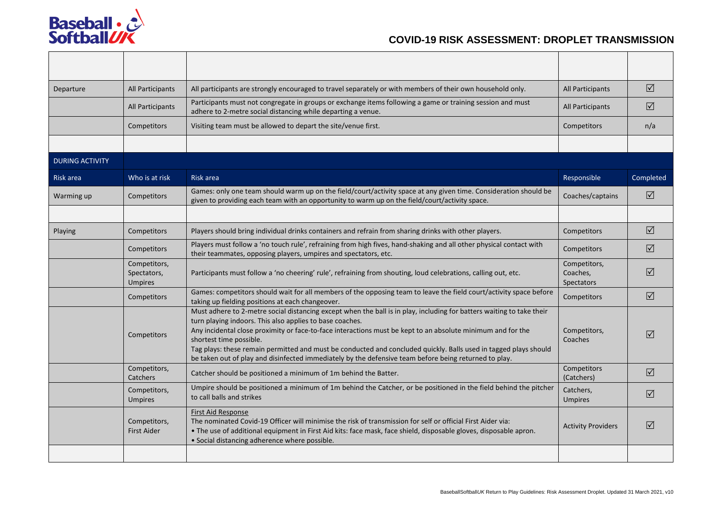

| Departure              | All Participants<br>All participants are strongly encouraged to travel separately or with members of their own household only. |                                                                                                                                                                                                                                                                                                                                                                                                                                                                                                                                                          | All Participants                       | $\triangledown$ |
|------------------------|--------------------------------------------------------------------------------------------------------------------------------|----------------------------------------------------------------------------------------------------------------------------------------------------------------------------------------------------------------------------------------------------------------------------------------------------------------------------------------------------------------------------------------------------------------------------------------------------------------------------------------------------------------------------------------------------------|----------------------------------------|-----------------|
|                        | All Participants                                                                                                               | Participants must not congregate in groups or exchange items following a game or training session and must<br>adhere to 2-metre social distancing while departing a venue.                                                                                                                                                                                                                                                                                                                                                                               | All Participants                       | ☑               |
|                        | Competitors                                                                                                                    | Visiting team must be allowed to depart the site/venue first.                                                                                                                                                                                                                                                                                                                                                                                                                                                                                            | Competitors                            | n/a             |
|                        |                                                                                                                                |                                                                                                                                                                                                                                                                                                                                                                                                                                                                                                                                                          |                                        |                 |
| <b>DURING ACTIVITY</b> |                                                                                                                                |                                                                                                                                                                                                                                                                                                                                                                                                                                                                                                                                                          |                                        |                 |
| Risk area              | Who is at risk                                                                                                                 | Risk area                                                                                                                                                                                                                                                                                                                                                                                                                                                                                                                                                | Responsible                            | Completed       |
| Warming up             | Competitors                                                                                                                    | Games: only one team should warm up on the field/court/activity space at any given time. Consideration should be<br>given to providing each team with an opportunity to warm up on the field/court/activity space.                                                                                                                                                                                                                                                                                                                                       | Coaches/captains                       | $\triangledown$ |
|                        |                                                                                                                                |                                                                                                                                                                                                                                                                                                                                                                                                                                                                                                                                                          |                                        |                 |
| Playing                | Competitors                                                                                                                    | Players should bring individual drinks containers and refrain from sharing drinks with other players.                                                                                                                                                                                                                                                                                                                                                                                                                                                    | Competitors                            | $\triangledown$ |
|                        | Competitors                                                                                                                    | Players must follow a 'no touch rule', refraining from high fives, hand-shaking and all other physical contact with<br>their teammates, opposing players, umpires and spectators, etc.                                                                                                                                                                                                                                                                                                                                                                   | Competitors                            | $\Delta$        |
|                        | Competitors,<br>Spectators,<br><b>Umpires</b>                                                                                  | Participants must follow a 'no cheering' rule', refraining from shouting, loud celebrations, calling out, etc.                                                                                                                                                                                                                                                                                                                                                                                                                                           | Competitors,<br>Coaches,<br>Spectators | $\sqrt{ }$      |
|                        | Competitors                                                                                                                    | Games: competitors should wait for all members of the opposing team to leave the field court/activity space before<br>taking up fielding positions at each changeover.                                                                                                                                                                                                                                                                                                                                                                                   | Competitors                            | $\triangledown$ |
|                        | Competitors                                                                                                                    | Must adhere to 2-metre social distancing except when the ball is in play, including for batters waiting to take their<br>turn playing indoors. This also applies to base coaches.<br>Any incidental close proximity or face-to-face interactions must be kept to an absolute minimum and for the<br>shortest time possible.<br>Tag plays: these remain permitted and must be conducted and concluded quickly. Balls used in tagged plays should<br>be taken out of play and disinfected immediately by the defensive team before being returned to play. | Competitors,<br>Coaches                | $\sqrt{}$       |
|                        | Competitors,<br>Catchers                                                                                                       | Catcher should be positioned a minimum of 1m behind the Batter.                                                                                                                                                                                                                                                                                                                                                                                                                                                                                          | Competitors<br>(Catchers)              | $\triangledown$ |
|                        | Competitors,<br><b>Umpires</b>                                                                                                 | Umpire should be positioned a minimum of 1m behind the Catcher, or be positioned in the field behind the pitcher<br>to call balls and strikes                                                                                                                                                                                                                                                                                                                                                                                                            | Catchers,<br><b>Umpires</b>            | $\triangledown$ |
|                        | Competitors,<br><b>First Aider</b>                                                                                             | <b>First Aid Response</b><br>The nominated Covid-19 Officer will minimise the risk of transmission for self or official First Aider via:<br>. The use of additional equipment in First Aid kits: face mask, face shield, disposable gloves, disposable apron.<br>• Social distancing adherence where possible.                                                                                                                                                                                                                                           | <b>Activity Providers</b>              | $\triangledown$ |
|                        |                                                                                                                                |                                                                                                                                                                                                                                                                                                                                                                                                                                                                                                                                                          |                                        |                 |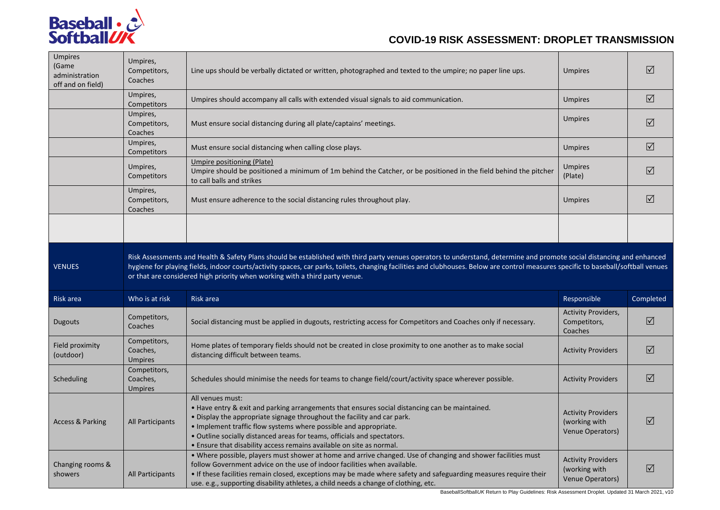

| <b>Umpires</b><br>(Game<br>administration<br>off and on field) | Umpires,<br>Competitors,<br>Coaches        | Line ups should be verbally dictated or written, photographed and texted to the umpire; no paper line ups.                                                                                                                                                                                                                                                                                                                                                                                                                           | <b>Umpires</b>                                                 | ☑               |
|----------------------------------------------------------------|--------------------------------------------|--------------------------------------------------------------------------------------------------------------------------------------------------------------------------------------------------------------------------------------------------------------------------------------------------------------------------------------------------------------------------------------------------------------------------------------------------------------------------------------------------------------------------------------|----------------------------------------------------------------|-----------------|
|                                                                | Umpires,<br>Competitors                    | Umpires should accompany all calls with extended visual signals to aid communication.                                                                                                                                                                                                                                                                                                                                                                                                                                                | <b>Umpires</b>                                                 | $\triangledown$ |
|                                                                | Umpires,<br>Competitors,<br>Coaches        | Must ensure social distancing during all plate/captains' meetings.                                                                                                                                                                                                                                                                                                                                                                                                                                                                   | <b>Umpires</b>                                                 | $\Delta$        |
|                                                                | Umpires,<br>Competitors                    | Must ensure social distancing when calling close plays.                                                                                                                                                                                                                                                                                                                                                                                                                                                                              | <b>Umpires</b>                                                 | $\Delta$        |
|                                                                | Umpires,<br>Competitors                    | Umpire positioning (Plate)<br>Umpire should be positioned a minimum of 1m behind the Catcher, or be positioned in the field behind the pitcher<br>to call balls and strikes                                                                                                                                                                                                                                                                                                                                                          | <b>Umpires</b><br>(Plate)                                      | $\triangledown$ |
|                                                                | Umpires,<br>Competitors,<br>Coaches        | Must ensure adherence to the social distancing rules throughout play.                                                                                                                                                                                                                                                                                                                                                                                                                                                                | <b>Umpires</b>                                                 | $\Delta$        |
|                                                                |                                            |                                                                                                                                                                                                                                                                                                                                                                                                                                                                                                                                      |                                                                |                 |
|                                                                |                                            |                                                                                                                                                                                                                                                                                                                                                                                                                                                                                                                                      |                                                                |                 |
| <b>VENUES</b>                                                  |                                            | Risk Assessments and Health & Safety Plans should be established with third party venues operators to understand, determine and promote social distancing and enhanced<br>hygiene for playing fields, indoor courts/activity spaces, car parks, toilets, changing facilities and clubhouses. Below are control measures specific to baseball/softball venues<br>or that are considered high priority when working with a third party venue.                                                                                          |                                                                |                 |
| Risk area                                                      | Who is at risk                             | Risk area                                                                                                                                                                                                                                                                                                                                                                                                                                                                                                                            | Responsible                                                    | Completed       |
| Dugouts                                                        | Competitors,<br>Coaches                    | Social distancing must be applied in dugouts, restricting access for Competitors and Coaches only if necessary.                                                                                                                                                                                                                                                                                                                                                                                                                      | <b>Activity Providers,</b><br>Competitors,<br>Coaches          | $\Delta$        |
| Field proximity<br>(outdoor)                                   | Competitors,<br>Coaches,<br><b>Umpires</b> | Home plates of temporary fields should not be created in close proximity to one another as to make social<br>distancing difficult between teams.                                                                                                                                                                                                                                                                                                                                                                                     | <b>Activity Providers</b>                                      | $\Delta$        |
| Scheduling                                                     | Competitors,<br>Coaches,<br><b>Umpires</b> | Schedules should minimise the needs for teams to change field/court/activity space wherever possible.                                                                                                                                                                                                                                                                                                                                                                                                                                | <b>Activity Providers</b>                                      | $\Delta$        |
| <b>Access &amp; Parking</b>                                    | All Participants                           | All venues must:<br>• Have entry & exit and parking arrangements that ensures social distancing can be maintained.<br>• Display the appropriate signage throughout the facility and car park.<br>• Implement traffic flow systems where possible and appropriate.<br>· Outline socially distanced areas for teams, officials and spectators.<br>• Ensure that disability access remains available on site as normal.<br>. Where possible, players must shower at home and arrive changed. Use of changing and shower facilities must | <b>Activity Providers</b><br>(working with<br>Venue Operators) | $\triangledown$ |

BaseballSoftball*UK* Return to Play Guidelines: Risk Assessment Droplet. Updated 31 March 2021, v10